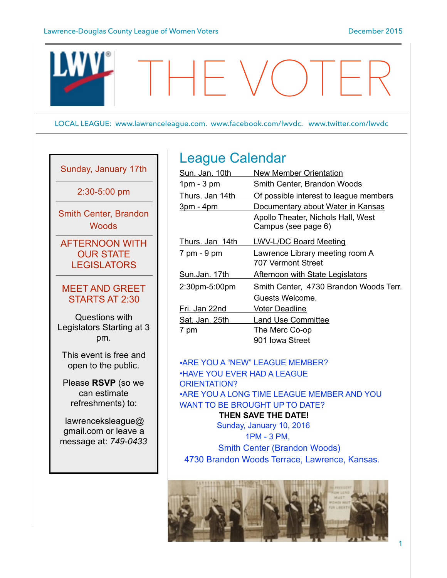

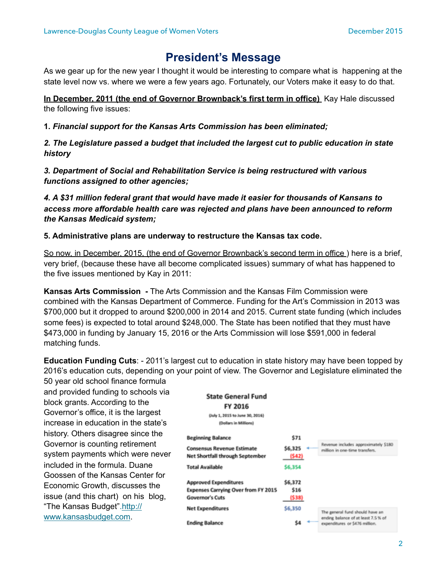# **President's Message**

As we gear up for the new year I thought it would be interesting to compare what is happening at the state level now vs. where we were a few years ago. Fortunately, our Voters make it easy to do that.

**In December, 2011 (the end of Governor Brownback's first term in office)** Kay Hale discussed the following five issues:

**1.** *Financial support for the Kansas Arts Commission has been eliminated;*

*2. The Legislature passed a budget that included the largest cut to public education in state history*

*3. Department of Social and Rehabilitation Service is being restructured with various functions assigned to other agencies;*

*4. A \$31 million federal grant that would have made it easier for thousands of Kansans to access more affordable health care was rejected and plans have been announced to reform the Kansas Medicaid system;*

**5. Administrative plans are underway to restructure the Kansas tax code.** 

So now, in December, 2015, (the end of Governor Brownback's second term in office ) here is a brief, very brief, (because these have all become complicated issues) summary of what has happened to the five issues mentioned by Kay in 2011:

**Kansas Arts Commission -** The Arts Commission and the Kansas Film Commission were combined with the Kansas Department of Commerce. Funding for the Art's Commission in 2013 was \$700,000 but it dropped to around \$200,000 in 2014 and 2015. Current state funding (which includes some fees) is expected to total around \$248,000. The State has been notified that they must have \$473,000 in funding by January 15, 2016 or the Arts Commission will lose \$591,000 in federal matching funds.

**Education Funding Cuts**: - 2011's largest cut to education in state history may have been topped by 2016's education cuts, depending on your point of view. The Governor and Legislature eliminated the 50 year old school finance formula

and provided funding to schools via block grants. According to the Governor's office, it is the largest increase in education in the state's history. Others disagree since the Governor is counting retirement system payments which were never included in the formula. Duane Goossen of the Kansas Center for Economic Growth, discusses the issue (and this chart) on his blog, ["The Kansas Budget".http://](http://www.kansasbudget.com) www.kansasbudget.com.

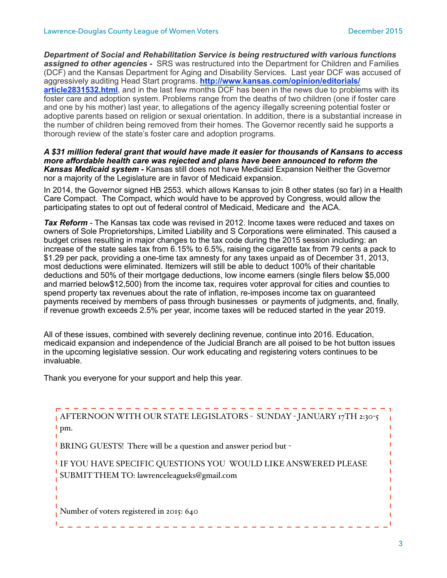*Department of Social and Rehabilitation Service is being restructured with various functions assigned to other agencies -* SRS was restructured into the Department for Children and Families (DCF) and the Kansas Department for Aging and Disability Services. Last year DCF was accused of aggressively auditing Head Start programs. **http://www.kansas.com/opinion/editorials/ article2831532.html**, and in the last few months DCF has been in the news due to problems with its foster care and adoption system. Problems range from the deaths of two children (one if foster care and one by his mother) last year, to allegations of the agency illegally screening potential foster or adoptive parents based on religion or sexual orientation. In addition, there is a substantial increase in the number of children being removed from their homes. The Governor recently said he supports a thorough review of the state's foster care and adoption programs.

*A \$31 million federal grant that would have made it easier for thousands of Kansans to access more affordable health care was rejected and plans have been announced to reform the Kansas Medicaid system -* Kansas still does not have Medicaid Expansion Neither the Governor nor a majority of the Legislature are in favor of Medicaid expansion.

In 2014, the Governor signed HB 2553. which allows Kansas to join 8 other states (so far) in a Health Care Compact. The Compact, which would have to be approved by Congress, would allow the participating states to opt out of federal control of Medicaid, Medicare and the ACA.

*Tax Reform* - The Kansas tax code was revised in 2012. Income taxes were reduced and taxes on owners of Sole Proprietorships, Limited Liability and S Corporations were eliminated. This caused a budget crises resulting in major changes to the tax code during the 2015 session including: an increase of the state sales tax from 6.15% to 6.5%, raising the cigarette tax from 79 cents a pack to \$1.29 per pack, providing a one-time tax amnesty for any taxes unpaid as of December 31, 2013, most deductions were eliminated. Itemizers will still be able to deduct 100% of their charitable deductions and 50% of their mortgage deductions, low income earners (single filers below \$5,000 and married below\$12,500) from the income tax, requires voter approval for cities and counties to spend property tax revenues about the rate of inflation, re-imposes income tax on guaranteed payments received by members of pass through businesses or payments of judgments, and, finally, if revenue growth exceeds 2.5% per year, income taxes will be reduced started in the year 2019.

All of these issues, combined with severely declining revenue, continue into 2016. Education, medicaid expansion and independence of the Judicial Branch are all poised to be hot button issues in the upcoming legislative session. Our work educating and registering voters continues to be invaluable.

Thank you everyone for your support and help this year.

| AFTERNOON WITH OUR STATE LEGISLATORS - SUNDAY - JANUARY 17TH 2:30-5<br>$\mathsf{p}$ pm.                      |
|--------------------------------------------------------------------------------------------------------------|
| <sup>1</sup> BRING GUESTS! There will be a question and answer period but -                                  |
| I IF YOU HAVE SPECIFIC QUESTIONS YOU WOULD LIKE ANSWERED PLEASE<br>SUBMITTHEM TO: lawrenceleagueks@gmail.com |
| Number of voters registered in 2015: 640                                                                     |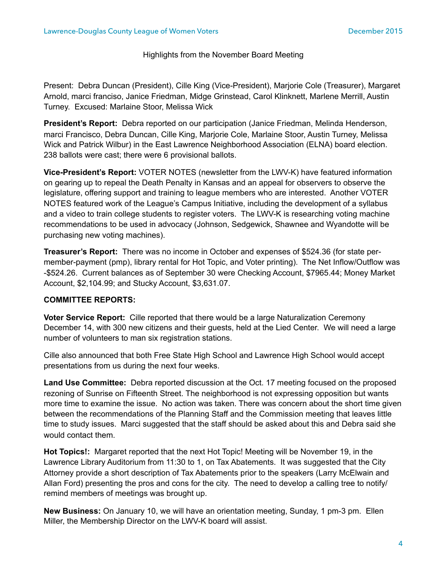### Highlights from the November Board Meeting

Present: Debra Duncan (President), Cille King (Vice-President), Marjorie Cole (Treasurer), Margaret Arnold, marci franciso, Janice Friedman, Midge Grinstead, Carol Klinknett, Marlene Merrill, Austin Turney. Excused: Marlaine Stoor, Melissa Wick

**President's Report:** Debra reported on our participation (Janice Friedman, Melinda Henderson, marci Francisco, Debra Duncan, Cille King, Marjorie Cole, Marlaine Stoor, Austin Turney, Melissa Wick and Patrick Wilbur) in the East Lawrence Neighborhood Association (ELNA) board election. 238 ballots were cast; there were 6 provisional ballots.

**Vice-President's Report:** VOTER NOTES (newsletter from the LWV-K) have featured information on gearing up to repeal the Death Penalty in Kansas and an appeal for observers to observe the legislature, offering support and training to league members who are interested. Another VOTER NOTES featured work of the League's Campus Initiative, including the development of a syllabus and a video to train college students to register voters. The LWV-K is researching voting machine recommendations to be used in advocacy (Johnson, Sedgewick, Shawnee and Wyandotte will be purchasing new voting machines).

**Treasurer's Report:** There was no income in October and expenses of \$524.36 (for state permember-payment (pmp), library rental for Hot Topic, and Voter printing). The Net Inflow/Outflow was -\$524.26. Current balances as of September 30 were Checking Account, \$7965.44; Money Market Account, \$2,104.99; and Stucky Account, \$3,631.07.

### **COMMITTEE REPORTS:**

**Voter Service Report:** Cille reported that there would be a large Naturalization Ceremony December 14, with 300 new citizens and their guests, held at the Lied Center. We will need a large number of volunteers to man six registration stations.

Cille also announced that both Free State High School and Lawrence High School would accept presentations from us during the next four weeks.

**Land Use Committee:** Debra reported discussion at the Oct. 17 meeting focused on the proposed rezoning of Sunrise on Fifteenth Street. The neighborhood is not expressing opposition but wants more time to examine the issue. No action was taken. There was concern about the short time given between the recommendations of the Planning Staff and the Commission meeting that leaves little time to study issues. Marci suggested that the staff should be asked about this and Debra said she would contact them.

**Hot Topics!:** Margaret reported that the next Hot Topic! Meeting will be November 19, in the Lawrence Library Auditorium from 11:30 to 1, on Tax Abatements. It was suggested that the City Attorney provide a short description of Tax Abatements prior to the speakers (Larry McElwain and Allan Ford) presenting the pros and cons for the city. The need to develop a calling tree to notify/ remind members of meetings was brought up.

**New Business:** On January 10, we will have an orientation meeting, Sunday, 1 pm-3 pm. Ellen Miller, the Membership Director on the LWV-K board will assist.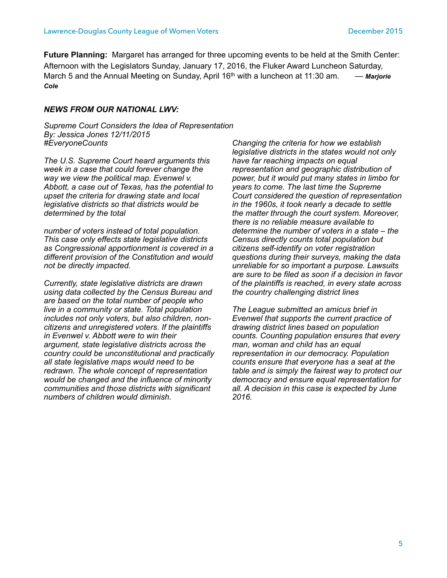**Future Planning:** Margaret has arranged for three upcoming events to be held at the Smith Center: Afternoon with the Legislators Sunday, January 17, 2016, the Fluker Award Luncheon Saturday, March 5 and the Annual Meeting on Sunday, April 16<sup>th</sup> with a luncheon at 11:30 am. — *Marjorie Cole*

#### *NEWS FROM OUR NATIONAL LWV:*

*Supreme Court Considers the Idea of Representation By: Jessica Jones 12/11/2015 #EveryoneCounts* 

*The U.S. Supreme Court heard arguments this week in a case that could forever change the way we view the political map. Evenwel v. Abbott, a case out of Texas, has the potential to upset the criteria for drawing state and local legislative districts so that districts would be determined by the total* 

*number of voters instead of total population. This case only effects state legislative districts as Congressional apportionment is covered in a different provision of the Constitution and would not be directly impacted.* 

*Currently, state legislative districts are drawn using data collected by the Census Bureau and are based on the total number of people who live in a community or state. Total population includes not only voters, but also children, noncitizens and unregistered voters. If the plaintiffs in Evenwel v. Abbott were to win their argument, state legislative districts across the country could be unconstitutional and practically all state legislative maps would need to be redrawn. The whole concept of representation would be changed and the influence of minority communities and those districts with significant numbers of children would diminish.* 

*Changing the criteria for how we establish legislative districts in the states would not only have far reaching impacts on equal representation and geographic distribution of power, but it would put many states in limbo for years to come. The last time the Supreme Court considered the question of representation in the 1960s, it took nearly a decade to settle the matter through the court system. Moreover, there is no reliable measure available to determine the number of voters in a state – the Census directly counts total population but citizens self-identify on voter registration questions during their surveys, making the data unreliable for so important a purpose. Lawsuits are sure to be filed as soon if a decision in favor of the plaintiffs is reached, in every state across the country challenging district lines* 

*The League submitted an amicus brief in Evenwel that supports the current practice of drawing district lines based on population counts. Counting population ensures that every man, woman and child has an equal representation in our democracy. Population counts ensure that everyone has a seat at the table and is simply the fairest way to protect our democracy and ensure equal representation for all. A decision in this case is expected by June 2016.*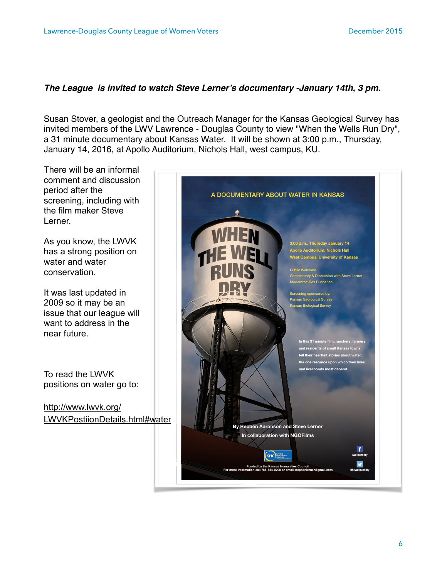## *The League is invited to watch Steve Lerner's documentary -January 14th, 3 pm.*

Susan Stover, a geologist and the Outreach Manager for the Kansas Geological Survey has invited members of the LWV Lawrence - Douglas County to view "When the Wells Run Dry", a 31 minute documentary about Kansas Water. It will be shown at 3:00 p.m., Thursday, January 14, 2016, at Apollo Auditorium, Nichols Hall, west campus, KU.

There will be an informal comment and discussion period after the screening, including with the film maker Steve Lerner.

As you know, the LWVK has a strong position on water and water conservation.

It was last updated in 2009 so it may be an issue that our league will want to address in the near future.

To read the LWVK positions on water go to:

http://www.lwvk.org/ [LWVKPostiionDetails.html#water](http://www.lwvk.org/LWVKPostiionDetails.html#water)

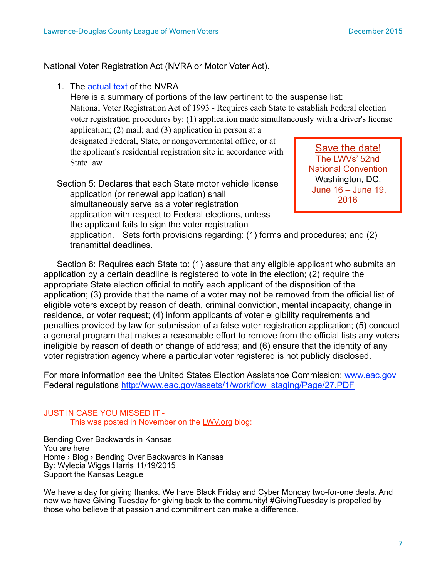National Voter Registration Act (NVRA or Motor Voter Act).

1. The [actual text](https://www.congress.gov/bill/103rd-congress/house-bill/2/text) of the NVRA

Here is a summary of portions of the law pertinent to the suspense list: National Voter Registration Act of 1993 - Requires each State to establish Federal election voter registration procedures by: (1) application made simultaneously with a driver's license

application; (2) mail; and (3) application in person at a designated Federal, State, or nongovernmental office, or at the applicant's residential registration site in accordance with State law.

Section 5: Declares that each State motor vehicle license application (or renewal application) shall simultaneously serve as a voter registration application with respect to Federal elections, unless the applicant fails to sign the voter registration

Save the date! The LWVs' 52nd National Convention Washington, DC, June 16 – June 19, 2016

 application. Sets forth provisions regarding: (1) forms and procedures; and (2) transmittal deadlines.

Section 8: Requires each State to: (1) assure that any eligible applicant who submits an application by a certain deadline is registered to vote in the election; (2) require the appropriate State election official to notify each applicant of the disposition of the application; (3) provide that the name of a voter may not be removed from the official list of eligible voters except by reason of death, criminal conviction, mental incapacity, change in residence, or voter request; (4) inform applicants of voter eligibility requirements and penalties provided by law for submission of a false voter registration application; (5) conduct a general program that makes a reasonable effort to remove from the official lists any voters ineligible by reason of death or change of address; and (6) ensure that the identity of any voter registration agency where a particular voter registered is not publicly disclosed.

For more information see the United States Election Assistance Commission: [www.eac.gov](http://www.eac.gov) Federal regulations http://www.eac.gov/assets/1/workflow\_staging/Page/27.PDF

### JUST IN CASE YOU MISSED IT - This was posted in November on the [LWV.org](http://lwv.org) blog:

Bending Over Backwards in Kansas You are here Home › Blog › Bending Over Backwards in Kansas By: Wylecia Wiggs Harris 11/19/2015 Support the Kansas League

We have a day for giving thanks. We have Black Friday and Cyber Monday two-for-one deals. And now we have Giving Tuesday for giving back to the community! #GivingTuesday is propelled by those who believe that passion and commitment can make a difference.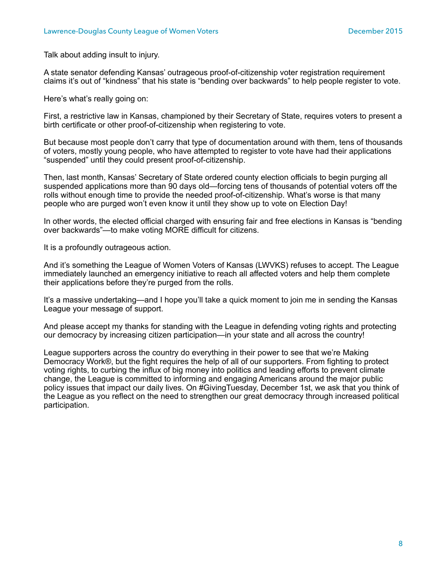Talk about adding insult to injury.

A state senator defending Kansas' outrageous proof-of-citizenship voter registration requirement claims it's out of "kindness" that his state is "bending over backwards" to help people register to vote.

Here's what's really going on:

First, a restrictive law in Kansas, championed by their Secretary of State, requires voters to present a birth certificate or other proof-of-citizenship when registering to vote.

But because most people don't carry that type of documentation around with them, tens of thousands of voters, mostly young people, who have attempted to register to vote have had their applications "suspended" until they could present proof-of-citizenship.

Then, last month, Kansas' Secretary of State ordered county election officials to begin purging all suspended applications more than 90 days old—forcing tens of thousands of potential voters off the rolls without enough time to provide the needed proof-of-citizenship. What's worse is that many people who are purged won't even know it until they show up to vote on Election Day!

In other words, the elected official charged with ensuring fair and free elections in Kansas is "bending over backwards"—to make voting MORE difficult for citizens.

It is a profoundly outrageous action.

And it's something the League of Women Voters of Kansas (LWVKS) refuses to accept. The League immediately launched an emergency initiative to reach all affected voters and help them complete their applications before they're purged from the rolls.

It's a massive undertaking—and I hope you'll take a quick moment to join me in sending the Kansas League your message of support.

And please accept my thanks for standing with the League in defending voting rights and protecting our democracy by increasing citizen participation—in your state and all across the country!

League supporters across the country do everything in their power to see that we're Making Democracy Work®, but the fight requires the help of all of our supporters. From fighting to protect voting rights, to curbing the influx of big money into politics and leading efforts to prevent climate change, the League is committed to informing and engaging Americans around the major public policy issues that impact our daily lives. On #GivingTuesday, December 1st, we ask that you think of the League as you reflect on the need to strengthen our great democracy through increased political participation.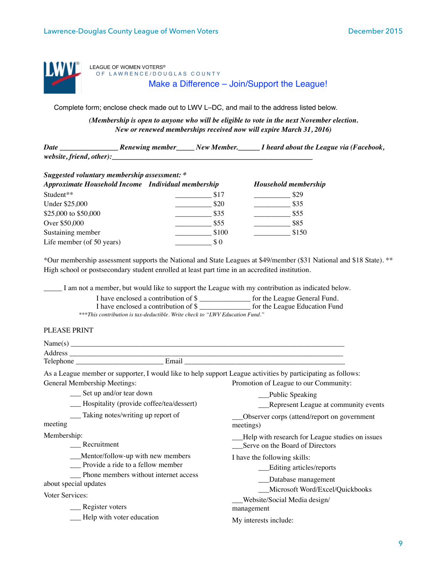

LEAGUE OF WOMEN VOTERS® OF LAWRENCE/DOUGLAS COUNTY Make a Difference – Join/Support the League!

Complete form; enclose check made out to LWV L–DC, and mail to the address listed below.

*(Membership is open to anyone who will be eligible to vote in the next November election. New or renewed memberships received now will expire March 31, 2016)* 

*Date \_\_\_\_\_\_\_\_\_\_\_\_\_\_\_\_ Renewing member\_\_\_\_\_ New Member.\_\_\_\_\_\_ I heard about the League via (Facebook, website, friend, other):\_\_\_\_\_\_\_\_\_\_\_\_\_\_\_\_\_\_\_\_\_\_\_\_\_\_\_\_\_\_\_\_\_\_\_\_\_\_\_\_\_\_\_\_\_\_\_\_\_\_\_\_\_\_\_*

| Suggested voluntary membership assessment: *       |       |                      |  |  |  |  |
|----------------------------------------------------|-------|----------------------|--|--|--|--|
| Approximate Household Income Individual membership |       | Household membership |  |  |  |  |
| Student**                                          | \$17  | \$29                 |  |  |  |  |
| Under \$25,000                                     | \$20  | \$35                 |  |  |  |  |
| \$25,000 to \$50,000                               | \$35  | \$55                 |  |  |  |  |
| Over \$50,000                                      | \$55  | \$85                 |  |  |  |  |
| Sustaining member                                  | \$100 | \$150                |  |  |  |  |
| Life member (of 50 years)                          | \$0   |                      |  |  |  |  |

\*Our membership assessment supports the National and State Leagues at \$49/member (\$31 National and \$18 State). \*\* High school or postsecondary student enrolled at least part time in an accredited institution.

\_\_\_\_\_ I am not a member, but would like to support the League with my contribution as indicated below.

|  | I have enclosed a contribution of \$ |  |  | for the League General Fund. |  |  |
|--|--------------------------------------|--|--|------------------------------|--|--|
|  |                                      |  |  |                              |  |  |

I have enclosed a contribution of \$ \_\_\_\_\_\_\_\_\_\_\_\_\_\_ for the League Education Fund

*\*\*\*This contribution is tax-deductible. Write check to "LWV Education Fund."* 

#### PLEASE PRINT

| Name $(s)$                                                                                                                                                                                       |                                                                                                              |
|--------------------------------------------------------------------------------------------------------------------------------------------------------------------------------------------------|--------------------------------------------------------------------------------------------------------------|
|                                                                                                                                                                                                  |                                                                                                              |
| Email                                                                                                                                                                                            |                                                                                                              |
|                                                                                                                                                                                                  | As a League member or supporter, I would like to help support League activities by participating as follows: |
| General Membership Meetings:                                                                                                                                                                     | Promotion of League to our Community:                                                                        |
| $\frac{1}{2}$ Set up and/or tear down                                                                                                                                                            | ___Public Speaking                                                                                           |
| $\mathbf{H}$ , $\mathbf{H}$ , $\mathbf{H}$ , $\mathbf{H}$ , $\mathbf{H}$ , $\mathbf{H}$ , $\mathbf{H}$ , $\mathbf{H}$ , $\mathbf{H}$ , $\mathbf{H}$ , $\mathbf{H}$ , $\mathbf{H}$ , $\mathbf{H}$ |                                                                                                              |

| Hospitality (provide coffee/tea/dessert)                                                                                                       | Represent League at community events                                                |  |  |  |
|------------------------------------------------------------------------------------------------------------------------------------------------|-------------------------------------------------------------------------------------|--|--|--|
| Taking notes/writing up report of<br>meeting                                                                                                   | Observer corps (attend/report on government<br>meetings)                            |  |  |  |
| Membership:<br>Recruitment                                                                                                                     | -Help with research for League studies on issues<br>Serve on the Board of Directors |  |  |  |
| Mentor/follow-up with new members<br>__ Provide a ride to a fellow member<br>__ Phone members without internet access<br>about special updates | I have the following skills:<br>Editing articles/reports<br>Database management     |  |  |  |
| Voter Services:<br>__ Register voters                                                                                                          | Microsoft Word/Excel/Quickbooks<br>Website/Social Media design/<br>management       |  |  |  |
| Help with voter education                                                                                                                      | My interests include:                                                               |  |  |  |